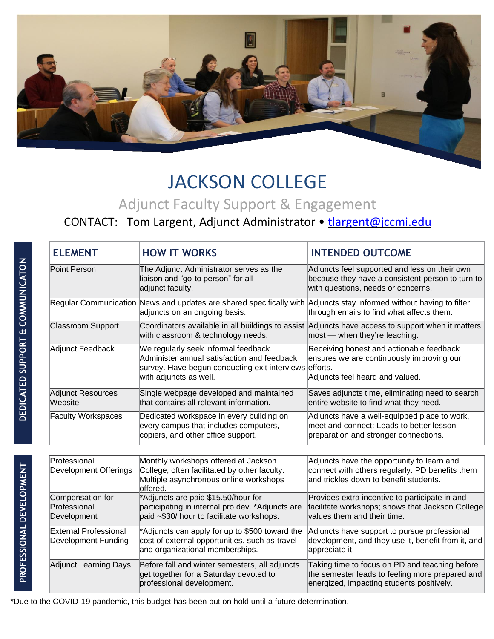

## JACKSON COLLEGE

## Adjunct Faculty Support & Engagement

## CONTACT: Tom Largent, Adjunct Administrator • [tlargent@jccmi.edu](mailto:tlargent@jccmi.edu)

| <b>ELEMENT</b>                                      | <b>HOW IT WORKS</b>                                                                                                                                                     | <b>INTENDED OUTCOME</b>                                                                                                                        |
|-----------------------------------------------------|-------------------------------------------------------------------------------------------------------------------------------------------------------------------------|------------------------------------------------------------------------------------------------------------------------------------------------|
| Point Person                                        | The Adjunct Administrator serves as the<br>liaison and "go-to person" for all<br>adjunct faculty.                                                                       | Adjuncts feel supported and less on their own<br>because they have a consistent person to turn to<br>with questions, needs or concerns.        |
|                                                     | Regular Communication News and updates are shared specifically with Adjuncts stay informed without having to filter<br>adjuncts on an ongoing basis.                    | through emails to find what affects them.                                                                                                      |
| <b>Classroom Support</b>                            | with classroom & technology needs.                                                                                                                                      | Coordinators available in all buildings to assist Adjuncts have access to support when it matters<br>$ most - when they're teaching.$          |
| Adjunct Feedback                                    | We regularly seek informal feedback.<br>Administer annual satisfaction and feedback<br>survey. Have begun conducting exit interviews efforts.<br>with adjuncts as well. | Receiving honest and actionable feedback<br>ensures we are continuously improving our<br>Adjuncts feel heard and valued.                       |
| <b>Adjunct Resources</b><br>Website                 | Single webpage developed and maintained<br>that contains all relevant information.                                                                                      | Saves adjuncts time, eliminating need to search<br>entire website to find what they need.                                                      |
| <b>Faculty Workspaces</b>                           | Dedicated workspace in every building on<br>every campus that includes computers,<br>copiers, and other office support.                                                 | Adjuncts have a well-equipped place to work,<br>meet and connect: Leads to better lesson<br>preparation and stronger connections.              |
| Professional<br>Development Offerings               | Monthly workshops offered at Jackson<br>College, often facilitated by other faculty.<br>Multiple asynchronous online workshops<br>offered.                              | Adjuncts have the opportunity to learn and<br>connect with others regularly. PD benefits them<br>and trickles down to benefit students.        |
| Compensation for<br>Professional<br>Development     | *Adjuncts are paid \$15.50/hour for<br>participating in internal pro dev. *Adjuncts are<br>paid ~\$30/ hour to facilitate workshops.                                    | Provides extra incentive to participate in and<br>facilitate workshops; shows that Jackson College<br>values them and their time.              |
| <b>External Professional</b><br>Development Funding | *Adjuncts can apply for up to \$500 toward the<br>cost of external opportunities, such as travel<br>and organizational memberships.                                     | Adjuncts have support to pursue professional<br>development, and they use it, benefit from it, and<br>appreciate it.                           |
| Adjunct Learning Days                               | Before fall and winter semesters, all adjuncts<br>get together for a Saturday devoted to<br>professional development.                                                   | Taking time to focus on PD and teaching before<br>the semester leads to feeling more prepared and<br>energized, impacting students positively. |

\*Due to the COVID-19 pandemic, this budget has been put on hold until a future determination.